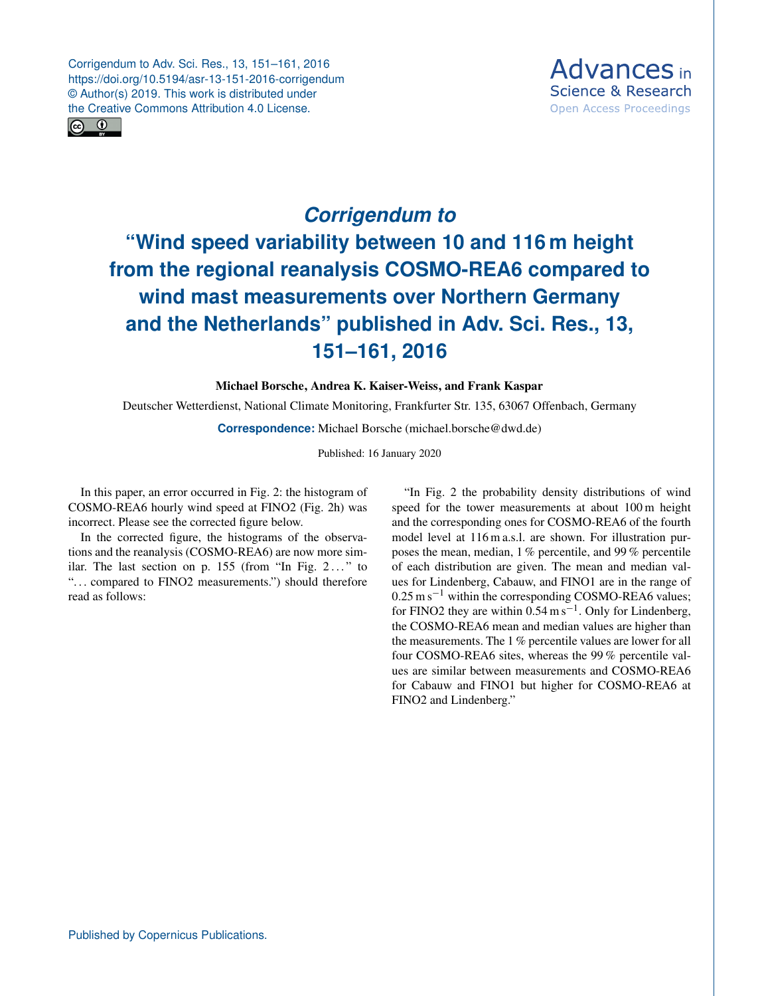Corrigendum to Adv. Sci. Res., 13, 151–161, 2016 https://doi.org/10.5194/asr-13-151-2016-corrigendum © Author(s) 2019. This work is distributed under the Creative Commons Attribution 4.0 License.





## *Corrigendum to* **"Wind speed variability between 10 and 116 m height from the regional reanalysis COSMO-REA6 compared to wind mast measurements over Northern Germany and the Netherlands" published in Adv. Sci. Res., 13, 151–161, 2016**

## Michael Borsche, Andrea K. Kaiser-Weiss, and Frank Kaspar

Deutscher Wetterdienst, National Climate Monitoring, Frankfurter Str. 135, 63067 Offenbach, Germany

**Correspondence:** Michael Borsche (michael.borsche@dwd.de)

Published: 16 January 2020

In this paper, an error occurred in Fig. 2: the histogram of COSMO-REA6 hourly wind speed at FINO2 (Fig. 2h) was incorrect. Please see the corrected figure below.

In the corrected figure, the histograms of the observations and the reanalysis (COSMO-REA6) are now more similar. The last section on p.  $155$  (from "In Fig.  $2...$ " to "... compared to FINO2 measurements.") should therefore read as follows:

"In Fig. 2 the probability density distributions of wind speed for the tower measurements at about 100 m height and the corresponding ones for COSMO-REA6 of the fourth model level at 116 m a.s.l. are shown. For illustration purposes the mean, median, 1 % percentile, and 99 % percentile of each distribution are given. The mean and median values for Lindenberg, Cabauw, and FINO1 are in the range of 0.25 m s−<sup>1</sup> within the corresponding COSMO-REA6 values; for FINO2 they are within  $0.54 \text{ m s}^{-1}$ . Only for Lindenberg, the COSMO-REA6 mean and median values are higher than the measurements. The 1 % percentile values are lower for all four COSMO-REA6 sites, whereas the 99 % percentile values are similar between measurements and COSMO-REA6 for Cabauw and FINO1 but higher for COSMO-REA6 at FINO2 and Lindenberg."